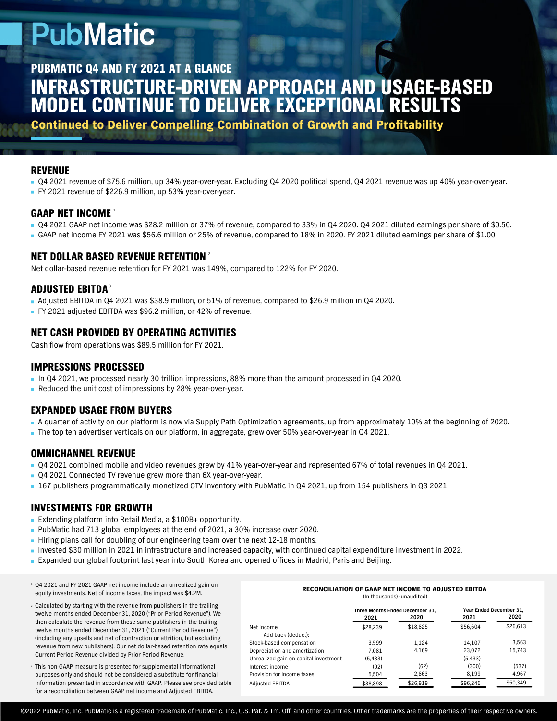## **PubMatic**

INFRASTRUCTURE-DRIVEN APPROACH AND USAGE-BASED MODEL CONTINUE TO DELIVER EXCEPTIONAL RESULTS PUBMATIC Q4 AND FY 2021 AT A GLANCE

Continued to Deliver Compelling Combination of Growth and Profitability

#### **REVENUE**

- Q4 2021 revenue of \$75.6 million, up 34% year-over-year. Excluding Q4 2020 political spend, Q4 2021 revenue was up 40% year-over-year.
- FY 2021 revenue of \$226.9 million, up 53% year-over-year.

### GAAP NET INCOME 1

- Q4 2021 GAAP net income was \$28.2 million or 37% of revenue, compared to 33% in Q4 2020. Q4 2021 diluted earnings per share of \$0.50.
- GAAP net income FY 2021 was \$56.6 million or 25% of revenue, compared to 18% in 2020. FY 2021 diluted earnings per share of \$1.00.

#### NET DOLLAR BASED REVENUE RETENTION $^\circ$

Net dollar-based revenue retention for FY 2021 was 149%, compared to 122% for FY 2020.

#### ADJUSTED EBITDA $^{\mathrm{3}}$  .

- Adjusted EBITDA in Q4 2021 was \$38.9 million, or 51% of revenue, compared to \$26.9 million in Q4 2020.
- FY 2021 adjusted EBITDA was \$96.2 million, or 42% of revenue.

#### NET CASH PROVIDED BY OPERATING ACTIVITIES

Cash flow from operations was \$89.5 million for FY 2021.

#### IMPRESSIONS PROCESSED

- In Q4 2021, we processed nearly 30 trillion impressions, 88% more than the amount processed in Q4 2020.
- Reduced the unit cost of impressions by 28% year-over-year.

#### EXPANDED USAGE FROM BUYERS

- A quarter of activity on our platform is now via Supply Path Optimization agreements, up from approximately 10% at the beginning of 2020.
- The top ten advertiser verticals on our platform, in aggregate, grew over 50% year-over-year in Q4 2021.

#### OMNICHANNEL REVENUE

- Q4 2021 combined mobile and video revenues grew by 41% year-over-year and represented 67% of total revenues in Q4 2021.
- Q4 2021 Connected TV revenue grew more than 6X year-over-year.
- 167 publishers programmatically monetized CTV inventory with PubMatic in Q4 2021, up from 154 publishers in Q3 2021.

#### INVESTMENTS FOR GROWTH

- Extending platform into Retail Media, a \$100B+ opportunity.
- **PubMatic had 713 global employees at the end of 2021, a 30% increase over 2020.**
- Hiring plans call for doubling of our engineering team over the next 12-18 months.
- Invested \$30 million in 2021 in infrastructure and increased capacity, with continued capital expenditure investment in 2022.
- Expanded our global footprint last year into South Korea and opened offices in Madrid, Paris and Beijing.
- Q4 2021 and FY 2021 GAAP net income include an unrealized gain on 1 equity investments. Net of income taxes, the impact was \$4.2M.
- Calculated by starting with the revenue from publishers in the trailing 2 twelve months ended December 31, 2020 ("Prior Period Revenue"). We then calculate the revenue from these same publishers in the trailing twelve months ended December 31, 2021 ("Current Period Revenue") (including any upsells and net of contraction or attrition, but excluding revenue from new publishers). Our net dollar-based retention rate equals Current Period Revenue divided by Prior Period Revenue.
- This non-GAAP measure is presented for supplemental informational 3purposes only and should not be considered a substitute for financial information presented in accordance with GAAP. Please see provided table for a reconciliation between GAAP net income and Adjusted EBITDA.

#### RECONCILIATION OF GAAP NET INCOME TO ADJUSTED EBITDA (In thousands) (unaudited)

|                                       | Three Months Ended December 31. |          | Year Ended December 31. |          |
|---------------------------------------|---------------------------------|----------|-------------------------|----------|
|                                       | 2021                            | 2020     | 2021                    | 2020     |
| Net income                            | \$28.239                        | \$18.825 | \$56.604                | \$26,613 |
| Add back (deduct):                    |                                 |          |                         |          |
| Stock-based compensation              | 3.599                           | 1.124    | 14.107                  | 3.563    |
| Depreciation and amortization         | 7.081                           | 4.169    | 23.072                  | 15.743   |
| Unrealized gain on capital investment | (5.433)                         |          | (5.433)                 |          |
| Interest income                       | (92)                            | (62)     | (300)                   | (537)    |
| Provision for income taxes            | 5,504                           | 2,863    | 8,199                   | 4,967    |
| <b>Adjusted EBITDA</b>                | \$38,898                        | \$26,919 | \$96,246                | \$50.349 |